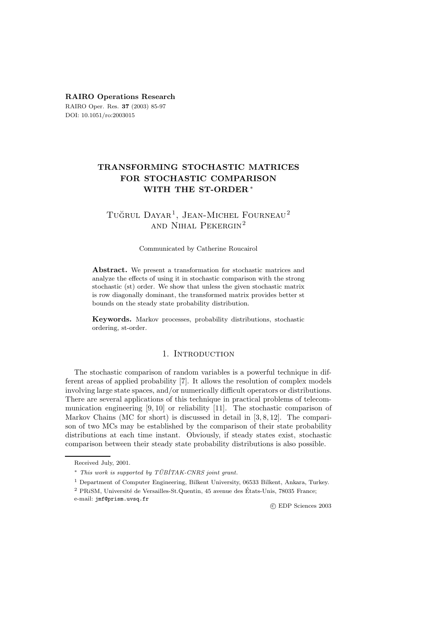### **RAIRO Operations Research**

RAIRO Oper. Res. **37** (2003) 85-97 DOI: 10.1051/ro:2003015

# **TRANSFORMING STOCHASTIC MATRICES FOR STOCHASTIC COMPARISON WITH THE ST-ORDER** ∗

# TUĞRUL DAYAR<sup>1</sup>, JEAN-MICHEL FOURNEAU<sup>2</sup> and Nihal Pekergin<sup>2</sup>

#### Communicated by Catherine Roucairol

**Abstract.** We present a transformation for stochastic matrices and analyze the effects of using it in stochastic comparison with the strong stochastic (st) order. We show that unless the given stochastic matrix is row diagonally dominant, the transformed matrix provides better st bounds on the steady state probability distribution.

**Keywords.** Markov processes, probability distributions, stochastic ordering, st-order.

## 1. INTRODUCTION

The stochastic comparison of random variables is a powerful technique in different areas of applied probability [7]. It allows the resolution of complex models involving large state spaces, and/or numerically difficult operators or distributions. There are several applications of this technique in practical problems of telecommunication engineering [9, 10] or reliability [11]. The stochastic comparison of Markov Chains (MC for short) is discussed in detail in  $[3, 8, 12]$ . The comparison of two MCs may be established by the comparison of their state probability distributions at each time instant. Obviously, if steady states exist, stochastic comparison between their steady state probability distributions is also possible.

c EDP Sciences 2003

Received July, 2001.

 $*$  This work is supported by  $TÜBITAK-CNRS$  joint grant.

<sup>1</sup> Department of Computer Engineering, Bilkent University, 06533 Bilkent, Ankara, Turkey.

 $2$  PRiSM, Université de Versailles-St.Quentin, 45 avenue des États-Unis, 78035 France; e-mail: jmf@prism.uvsq.fr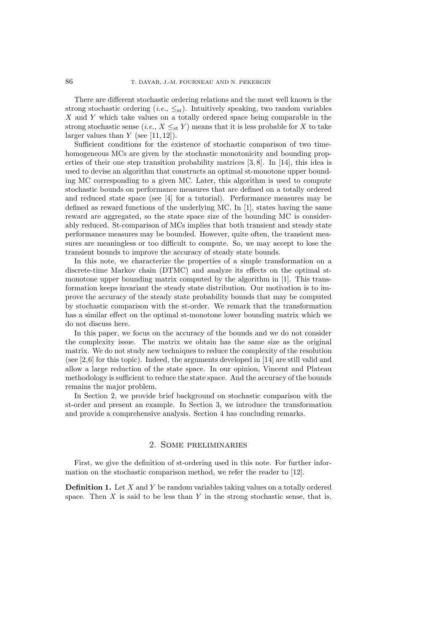There are different stochastic ordering relations and the most well known is the strong stochastic ordering  $(i.e., \leq_{st})$ . Intuitively speaking, two random variables X and Y which take values on a totally ordered space being comparable in the strong stochastic sense (*i.e.*,  $X \leq_{st} Y$ ) means that it is less probable for X to take larger values than  $Y$  (see [11, 12]).

Sufficient conditions for the existence of stochastic comparison of two timehomogeneous MCs are given by the stochastic monotonicity and bounding properties of their one step transition probability matrices [3, 8]. In [14], this idea is used to devise an algorithm that constructs an optimal st-monotone upper bounding MC corresponding to a given MC. Later, this algorithm is used to compute stochastic bounds on performance measures that are defined on a totally ordered and reduced state space (see [4] for a tutorial). Performance measures may be defined as reward functions of the underlying MC. In [1], states having the same reward are aggregated, so the state space size of the bounding MC is considerably reduced. St-comparison of MCs implies that both transient and steady state performance measures may be bounded. However, quite often, the transient measures are meaningless or too difficult to compute. So, we may accept to lose the transient bounds to improve the accuracy of steady state bounds.

In this note, we characterize the properties of a simple transformation on a discrete-time Markov chain (DTMC) and analyze its effects on the optimal stmonotone upper bounding matrix computed by the algorithm in [1]. This transformation keeps invariant the steady state distribution. Our motivation is to improve the accuracy of the steady state probability bounds that may be computed by stochastic comparison with the st-order. We remark that the transformation has a similar effect on the optimal st-monotone lower bounding matrix which we do not discuss here.

In this paper, we focus on the accuracy of the bounds and we do not consider the complexity issue. The matrix we obtain has the same size as the original matrix. We do not study new techniques to reduce the complexity of the resolution (see  $[2,6]$  for this topic). Indeed, the arguments developed in  $[14]$  are still valid and allow a large reduction of the state space. In our opinion, Vincent and Plateau methodology is sufficient to reduce the state space. And the accuracy of the bounds remains the major problem.

In Section 2, we provide brief background on stochastic comparison with the st-order and present an example. In Section 3, we introduce the transformation and provide a comprehensive analysis. Section 4 has concluding remarks.

### 2. Some preliminaries

First, we give the definition of st-ordering used in this note. For further information on the stochastic comparison method, we refer the reader to [12].

**Definition 1.** Let X and Y be random variables taking values on a totally ordered space. Then  $X$  is said to be less than  $Y$  in the strong stochastic sense, that is,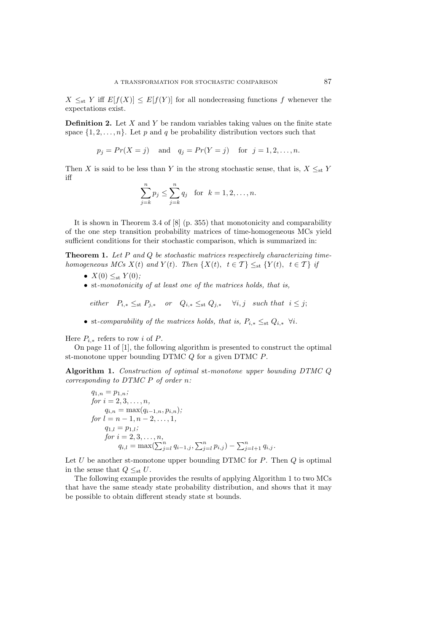$X \leq_{st} Y$  iff  $E[f(X)] \leq E[f(Y)]$  for all nondecreasing functions f whenever the expectations exist.

**Definition 2.** Let X and Y be random variables taking values on the finite state space  $\{1, 2, ..., n\}$ . Let p and q be probability distribution vectors such that

 $p_j = Pr(X = j)$  and  $q_j = Pr(Y = j)$  for  $j = 1, 2, ..., n$ .

Then X is said to be less than Y in the strong stochastic sense, that is,  $X \leq_{st} Y$ iff

$$
\sum_{j=k}^{n} p_j \le \sum_{j=k}^{n} q_j \text{ for } k = 1, 2, ..., n.
$$

It is shown in Theorem 3.4 of [8] (p. 355) that monotonicity and comparability of the one step transition probability matrices of time-homogeneous MCs yield sufficient conditions for their stochastic comparison, which is summarized in:

**Theorem 1.** *Let* P *and* Q *be stochastic matrices respectively characterizing timehomogeneous MCs*  $X(t)$  *and*  $Y(t)$ *. Then*  $\{X(t), t \in \mathcal{T}\}\leq_{st} \{Y(t), t \in \mathcal{T}\}\$  *if* 

- $X(0) \leq_{\text{st}} Y(0)$ ;
- st*-monotonicity of at least one of the matrices holds, that is,*

*either*  $P_{i,*} \leq_{st} P_{i,*}$  *or*  $Q_{i,*} \leq_{st} Q_{i,*}$   $\forall i,j$  *such that*  $i \leq j;$ 

• st-comparability of the matrices holds, that is,  $P_{i,*} \leq_{st} Q_{i,*} \ \forall i$ .

Here  $P_{i,*}$  refers to row i of P.

On page 11 of [1], the following algorithm is presented to construct the optimal st-monotone upper bounding  $DTMC Q$  for a given  $DTMC P$ .

**Algorithm 1.** *Construction of optimal* st*-monotone upper bounding DTMC* Q *corresponding to DTMC* P *of order* n*:*

$$
q_{1,n} = p_{1,n};
$$
  
\nfor  $i = 2, 3, ..., n$ ,  
\n
$$
q_{i,n} = \max(q_{i-1,n}, p_{i,n});
$$
  
\nfor  $l = n - 1, n - 2, ..., 1$ ,  
\n
$$
q_{1,l} = p_{1,l};
$$
  
\nfor  $i = 2, 3, ..., n$ ,  
\n
$$
q_{i,l} = \max(\sum_{j=l}^{n} q_{i-1,j}, \sum_{j=l}^{n} p_{i,j}) - \sum_{j=l+1}^{n} q_{i,j}.
$$

Let  $U$  be another st-monotone upper bounding DTMC for  $P$ . Then  $Q$  is optimal in the sense that  $Q \leq_{st} U$ .

The following example provides the results of applying Algorithm 1 to two MCs that have the same steady state probability distribution, and shows that it may be possible to obtain different steady state st bounds.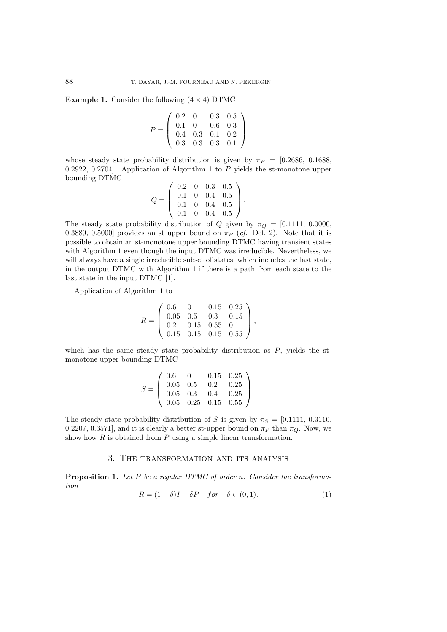**Example 1.** Consider the following  $(4 \times 4)$  DTMC

$$
P = \left(\begin{array}{cccc} 0.2 & 0 & 0.3 & 0.5 \\ 0.1 & 0 & 0.6 & 0.3 \\ 0.4 & 0.3 & 0.1 & 0.2 \\ 0.3 & 0.3 & 0.3 & 0.1 \end{array}\right)
$$

whose steady state probability distribution is given by  $\pi_P = [0.2686, 0.1688,$ 0.2922, 0.2704]. Application of Algorithm 1 to  $P$  yields the st-monotone upper bounding DTMC

$$
Q = \left(\begin{array}{cccc} 0.2 & 0 & 0.3 & 0.5 \\ 0.1 & 0 & 0.4 & 0.5 \\ 0.1 & 0 & 0.4 & 0.5 \\ 0.1 & 0 & 0.4 & 0.5 \end{array}\right).
$$

The steady state probability distribution of Q given by  $\pi_Q = [0.1111, 0.0000,$ 0.3889, 0.5000] provides an st upper bound on  $\pi_P$  (*cf.* Def. 2). Note that it is possible to obtain an st-monotone upper bounding DTMC having transient states with Algorithm 1 even though the input DTMC was irreducible. Nevertheless, we will always have a single irreducible subset of states, which includes the last state, in the output DTMC with Algorithm 1 if there is a path from each state to the last state in the input DTMC [1].

Application of Algorithm 1 to

$$
R = \left(\begin{array}{cccc} 0.6 & 0 & 0.15 & 0.25 \\ 0.05 & 0.5 & 0.3 & 0.15 \\ 0.2 & 0.15 & 0.55 & 0.1 \\ 0.15 & 0.15 & 0.15 & 0.55 \end{array}\right),
$$

which has the same steady state probability distribution as  $P$ , yields the stmonotone upper bounding DTMC

$$
S = \left(\begin{array}{cccc} 0.6 & 0 & 0.15 & 0.25 \\ 0.05 & 0.5 & 0.2 & 0.25 \\ 0.05 & 0.3 & 0.4 & 0.25 \\ 0.05 & 0.25 & 0.15 & 0.55 \end{array}\right).
$$

The steady state probability distribution of S is given by  $\pi_S = [0.1111, 0.3110,$ 0.2207, 0.3571], and it is clearly a better st-upper bound on  $\pi_P$  than  $\pi_Q$ . Now, we show how  $R$  is obtained from  $P$  using a simple linear transformation.

### 3. The transformation and its analysis

**Proposition 1.** *Let* P *be a regular DTMC of order* n*. Consider the transformation*

$$
R = (1 - \delta)I + \delta P \quad for \quad \delta \in (0, 1). \tag{1}
$$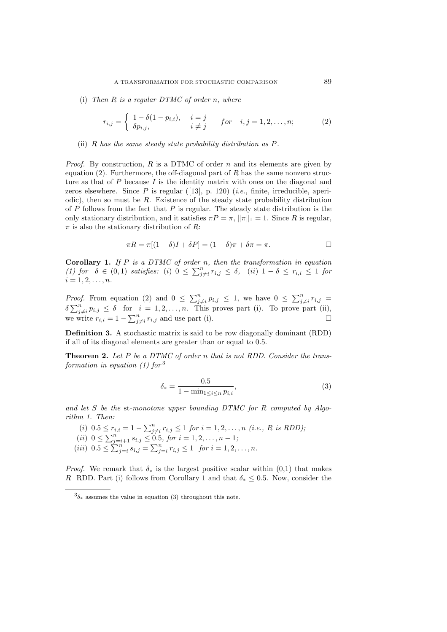(i) *Then* R *is a regular DTMC of order* n*, where*

$$
r_{i,j} = \begin{cases} 1 - \delta(1 - p_{i,i}), & i = j \\ \delta p_{i,j}, & i \neq j \end{cases} \quad for \quad i, j = 1, 2, ..., n; \quad (2)
$$

#### (ii) R *has the same steady state probability distribution as* P*.*

*Proof.* By construction, R is a DTMC of order n and its elements are given by equation  $(2)$ . Furthermore, the off-diagonal part of R has the same nonzero structure as that of  $P$  because  $I$  is the identity matrix with ones on the diagonal and zeros elsewhere. Since P is regular ([13], p. 120) (*i.e.*, finite, irreducible, aperiodic), then so must be  $R$ . Existence of the steady state probability distribution of  $P$  follows from the fact that  $P$  is regular. The steady state distribution is the only stationary distribution, and it satisfies  $\pi P = \pi$ ,  $\|\pi\|_1 = 1$ . Since R is regular,  $\pi$  is also the stationary distribution of R:

$$
\pi R = \pi [(1 - \delta)I + \delta P] = (1 - \delta)\pi + \delta\pi = \pi.
$$

**Corollary 1.** *If* P *is a DTMC of order* n*, then the transformation in equation*  $(1)$  for  $\delta$  ∈ (0, 1) *satisfies:* (i) 0 ≤  $\sum_{j \neq i}^{n} r_{i,j}$  ≤  $\delta$ , (ii) 1 −  $\delta$  ≤  $r_{i,i}$  ≤ 1 for  $i = 1, 2, \ldots, n$ .

*Proof.* From equation (2) and  $0 \le \sum_{j\neq i}^{n} p_{i,j} \le 1$ , we have  $0 \le \sum_{j\neq i}^{n} r_{i,j} =$  $\delta \sum_{j \neq i}^{n} p_{i,j} \leq \delta$  for  $i = 1, 2, ..., n$ . This proves part (i). To prove part (ii), we write  $r_{i,i} = 1 - \sum_{j \neq i}^{n} r_{i,j}$  and use part (i).

**Definition 3.** A stochastic matrix is said to be row diagonally dominant (RDD) if all of its diagonal elements are greater than or equal to 0.5.

**Theorem 2.** *Let* P *be a DTMC of order* n *that is not RDD. Consider the transformation in equation (1) for* <sup>3</sup>

$$
\delta_* = \frac{0.5}{1 - \min_{1 \le i \le n} p_{i,i}},\tag{3}
$$

*and let* S *be the* st*-monotone upper bounding DTMC for* R *computed by Algorithm 1. Then:*

(i)  $0.5 \leq r_{i,i} = 1 - \sum_{j \neq i}^{n} r_{i,j} \leq 1$  *for*  $i = 1, 2, ..., n$  *(i.e., R is RDD)*;  $(ii)$  0  $\leq \sum_{j=i+1}^{n} s_{i,j} \leq 0.5$ , for  $i = 1, 2, ..., n-1$ ;  $(iii)$   $0.5 \le \sum_{j=i}^{n} s_{i,j} = \sum_{j=i}^{n} r_{i,j} \le 1$  *for*  $i = 1, 2, ..., n$ *.* 

*Proof.* We remark that  $\delta_*$  is the largest positive scalar within (0,1) that makes R RDD. Part (i) follows from Corollary 1 and that  $\delta_* \leq 0.5$ . Now, consider the

 $3\delta_*$  assumes the value in equation (3) throughout this note.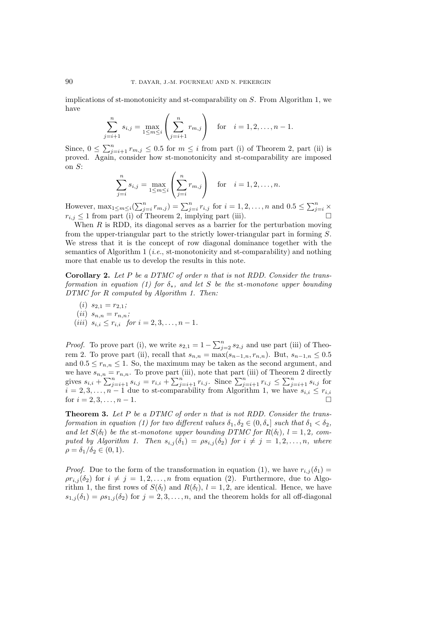implications of st-monotonicity and st-comparability on  $S$ . From Algorithm 1, we have

$$
\sum_{j=i+1}^{n} s_{i,j} = \max_{1 \le m \le i} \left( \sum_{j=i+1}^{n} r_{m,j} \right) \text{ for } i = 1, 2, \dots, n-1.
$$

Since,  $0 \le \sum_{j=i+1}^{n} r_{m,j} \le 0.5$  for  $m \le i$  from part (i) of Theorem 2, part (ii) is proved. Again, consider how st-monotonicity and st-comparability are imposed on S:

$$
\sum_{j=i}^{n} s_{i,j} = \max_{1 \le m \le i} \left( \sum_{j=i}^{n} r_{m,j} \right) \text{ for } i = 1, 2, ..., n.
$$

However,  $\max_{1 \leq m \leq i} (\sum_{j=i}^{n} r_{m,j}) = \sum_{j=i}^{n} r_{i,j}$  for  $i = 1, 2, ..., n$  and  $0.5 \leq \sum_{j=i}^{n} \times$  $r_{i,j} \leq 1$  from part (i) of Theorem 2, implying part (iii).

When  $R$  is RDD, its diagonal serves as a barrier for the perturbation moving from the upper-triangular part to the strictly lower-triangular part in forming S. We stress that it is the concept of row diagonal dominance together with the semantics of Algorithm 1 (*i.e.*, st-monotonicity and st-comparability) and nothing more that enable us to develop the results in this note.

**Corollary 2.** *Let* P *be a DTMC of order* n *that is not RDD. Consider the transformation in equation (1) for* δ∗*, and let* S *be the* st*-monotone upper bounding DTMC for* R *computed by Algorithm 1. Then:*

(i) 
$$
s_{2,1} = r_{2,1}
$$
;  
\n(ii)  $s_{n,n} = r_{n,n}$ ;  
\n(iii)  $s_{i,i} \le r_{i,i}$  for  $i = 2,3,...,n-1$ .

*Proof.* To prove part (i), we write  $s_{2,1} = 1 - \sum_{j=2}^{n} s_{2,j}$  and use part (iii) of Theorem 2. To prove part (ii), recall that  $s_{n,n} = \max(s_{n-1,n}, r_{n,n})$ . But,  $s_{n-1,n} \leq 0.5$ and  $0.5 \leq r_{n,n} \leq 1$ . So, the maximum may be taken as the second argument, and we have  $s_{n,n} = r_{n,n}$ . To prove part (iii), note that part (iii) of Theorem 2 directly gives  $s_{i,i} + \sum_{j=i+1}^{n} s_{i,j} = r_{i,i} + \sum_{j=i+1}^{n} r_{i,j}$ . Since  $\sum_{j=i+1}^{n} r_{i,j} \le \sum_{j=i+1}^{n} s_{i,j}$  for  $i = 2, 3, \ldots, n - 1$  due to st-comparability from Algorithm 1, we have  $s_{i,i} \leq r_{i,i}$ for  $i = 2, 3, \ldots, n - 1$ .

**Theorem 3.** *Let* P *be a DTMC of order* n *that is not RDD. Consider the transformation in equation (1) for two different values*  $\delta_1, \delta_2 \in (0, \delta_*]$  *such that*  $\delta_1 < \delta_2$ , and let  $S(\delta_l)$  be the st-monotone upper bounding DTMC for  $R(\delta_l)$ ,  $l = 1, 2$ , com*puted by Algorithm 1. Then*  $s_{i,j}(\delta_1) = \rho s_{i,j}(\delta_2)$  *for*  $i \neq j = 1, 2, ..., n$ *, where*  $\rho = \delta_1/\delta_2 \in (0,1)$ .

*Proof.* Due to the form of the transformation in equation (1), we have  $r_{i,j}(\delta_1)$  =  $\rho r_{i,j}(\delta_2)$  for  $i \neq j = 1, 2, \ldots, n$  from equation (2). Furthermore, due to Algorithm 1, the first rows of  $S(\delta_l)$  and  $R(\delta_l)$ ,  $l = 1, 2$ , are identical. Hence, we have  $s_{1,j}(\delta_1) = \rho s_{1,j}(\delta_2)$  for  $j = 2, 3, ..., n$ , and the theorem holds for all off-diagonal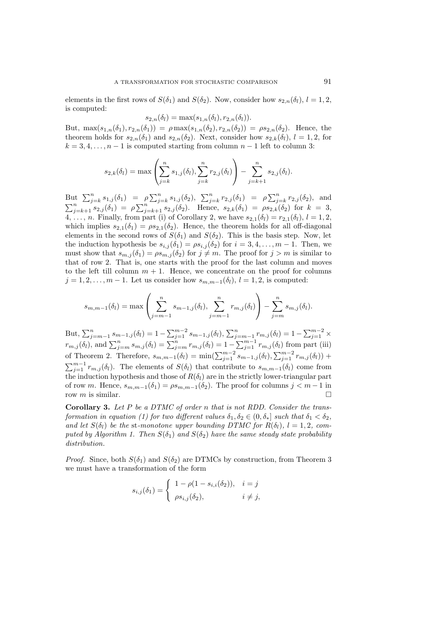elements in the first rows of  $S(\delta_1)$  and  $S(\delta_2)$ . Now, consider how  $s_{2,n}(\delta_l)$ ,  $l = 1, 2$ , is computed:

$$
s_{2,n}(\delta_l) = \max(s_{1,n}(\delta_l), r_{2,n}(\delta_l)).
$$

But,  $\max(s_{1,n}(\delta_1), r_{2,n}(\delta_1)) = \rho \max(s_{1,n}(\delta_2), r_{2,n}(\delta_2)) = \rho s_{2,n}(\delta_2)$ . Hence, the theorem holds for  $s_{2,n}(\delta_1)$  and  $s_{2,n}(\delta_2)$ . Next, consider how  $s_{2,k}(\delta_i)$ ,  $l = 1, 2$ , for  $k = 3, 4, \ldots, n - 1$  is computed starting from column  $n - 1$  left to column 3:

$$
s_{2,k}(\delta_l) = \max \left( \sum_{j=k}^n s_{1,j}(\delta_l), \sum_{j=k}^n r_{2,j}(\delta_l) \right) - \sum_{j=k+1}^n s_{2,j}(\delta_l).
$$

But  $\sum_{j=k}^{n} s_{1,j}(\delta_1) = \rho \sum_{j=k}^{n} s_{1,j}(\delta_2)$ ,  $\sum_{j=k}^{n} r_{2,j}(\delta_1) = \rho \sum_{j=k}^{n} r_{2,j}(\delta_2)$ , and  $\sum_{j=k+1}^{n} s_{2,j}(\delta_1) = \rho \sum_{j=k+1}^{n} s_{2,j}(\delta_2)$ . Hence,  $s_{2,k}(\delta_1) = \rho s_{2,k}(\delta_2)$  for  $k = 3$ , 4, ..., n. Finally, from part (i) of Corollary 2, we have  $s_{2,1}(\delta_l) = r_{2,1}(\delta_l)$ ,  $l = 1, 2$ , which implies  $s_{2,1}(\delta_1) = \rho s_{2,1}(\delta_2)$ . Hence, the theorem holds for all off-diagonal elements in the second rows of  $S(\delta_1)$  and  $S(\delta_2)$ . This is the basis step. Now, let the induction hypothesis be  $s_{i,j}(\delta_1) = \rho s_{i,j}(\delta_2)$  for  $i = 3, 4, ..., m - 1$ . Then, we must show that  $s_{m,j}(\delta_1) = \rho s_{m,j}(\delta_2)$  for  $j \neq m$ . The proof for  $j > m$  is similar to that of row 2. That is, one starts with the proof for the last column and moves to the left till column  $m + 1$ . Hence, we concentrate on the proof for columns  $j = 1, 2, \ldots, m - 1$ . Let us consider how  $s_{m,m-1}(\delta_l), l = 1, 2$ , is computed:

$$
s_{m,m-1}(\delta_l) = \max \left( \sum_{j=m-1}^n s_{m-1,j}(\delta_l), \sum_{j=m-1}^n r_{m,j}(\delta_l) \right) - \sum_{j=m}^n s_{m,j}(\delta_l).
$$

But,  $\sum_{j=m-1}^{n} s_{m-1,j}(\delta_l) = 1 - \sum_{j=1}^{m-2} s_{m-1,j}(\delta_l)$ ,  $\sum_{j=m-1}^{n} r_{m,j}(\delta_l) = 1 - \sum_{j=1}^{m-2} \times$  $r_{m,j}(\delta_l)$ , and  $\sum_{j=m}^{n} s_{m,j}(\delta_l) = \sum_{j=m}^{n} r_{m,j}(\delta_l) = 1 - \sum_{j=1}^{m-1} r_{m,j}(\delta_l)$  from part (iii) of Theorem 2. Therefore,  $s_{m,m-1}(\delta_l) = \min(\sum_{j=1}^{m-2} s_{m-1,j}(\delta_l), \sum_{j=1}^{m-2} r_{m,j}(\delta_l))$  +  $\sum_{j=1}^{m-1} r_{m,j}(\delta_l)$ . The elements of  $S(\delta_l)$  that contribute to  $s_{m,m-1}(\delta_l)$  come from the induction hypothesis and those of  $R(\delta_l)$  are in the strictly lower-triangular part of row m. Hence,  $s_{m,m-1}(\delta_1) = \rho s_{m,m-1}(\delta_2)$ . The proof for columns  $j < m - 1$  in row m is similar row m is similar.

**Corollary 3.** *Let* P *be a DTMC of order* n *that is not RDD. Consider the transformation in equation (1) for two different values*  $\delta_1, \delta_2 \in (0, \delta_*]$  *such that*  $\delta_1 < \delta_2$ . and let  $S(\delta_l)$  be the st-monotone upper bounding DTMC for  $R(\delta_l)$ ,  $l = 1, 2$ , com*puted by Algorithm 1. Then*  $S(\delta_1)$  *and*  $S(\delta_2)$  *have the same steady state probability distribution.*

*Proof.* Since, both  $S(\delta_1)$  and  $S(\delta_2)$  are DTMCs by construction, from Theorem 3 we must have a transformation of the form

$$
s_{i,j}(\delta_1) = \begin{cases} 1 - \rho(1 - s_{i,i}(\delta_2)), & i = j \\ \rho s_{i,j}(\delta_2), & i \neq j, \end{cases}
$$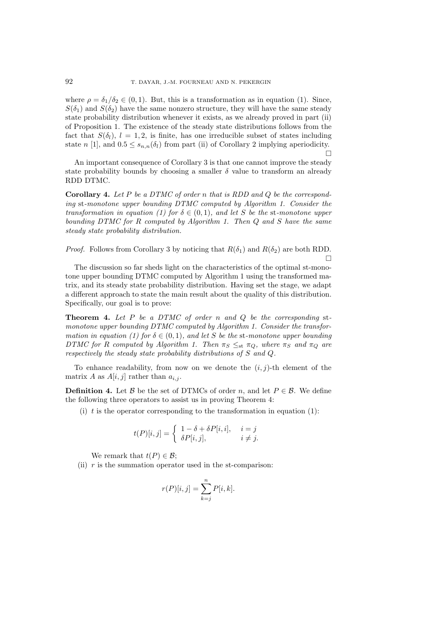where  $\rho = \delta_1/\delta_2 \in (0, 1)$ . But, this is a transformation as in equation (1). Since,  $S(\delta_1)$  and  $S(\delta_2)$  have the same nonzero structure, they will have the same steady state probability distribution whenever it exists, as we already proved in part (ii) of Proposition 1. The existence of the steady state distributions follows from the fact that  $S(\delta_l)$ ,  $l = 1, 2$ , is finite, has one irreducible subset of states including state n [1], and  $0.5 \leq s_{n,n}(\delta_l)$  from part (ii) of Corollary 2 implying aperiodicity.  $\Box$ 

An important consequence of Corollary 3 is that one cannot improve the steady state probability bounds by choosing a smaller  $\delta$  value to transform an already RDD DTMC.

**Corollary 4.** *Let* P *be a DTMC of order* n *that is RDD and* Q *be the corresponding* st*-monotone upper bounding DTMC computed by Algorithm 1. Consider the transformation in equation (1) for*  $\delta \in (0,1)$ *, and let* S *be the st-monotone upper bounding DTMC for* R *computed by Algorithm 1. Then* Q *and* S *have the same steady state probability distribution.*

*Proof.* Follows from Corollary 3 by noticing that  $R(\delta_1)$  and  $R(\delta_2)$  are both RDD.  $\Box$ 

The discussion so far sheds light on the characteristics of the optimal st-monotone upper bounding DTMC computed by Algorithm 1 using the transformed matrix, and its steady state probability distribution. Having set the stage, we adapt a different approach to state the main result about the quality of this distribution. Specifically, our goal is to prove:

**Theorem 4.** *Let* P *be a DTMC of order* n *and* Q *be the corresponding* st*monotone upper bounding DTMC computed by Algorithm 1. Consider the transformation in equation (1) for*  $\delta \in (0,1)$ *, and let* S *be the* st-monotone upper bounding *DTMC for* R *computed by Algorithm 1. Then*  $\pi_S \leq_{\text{st}} \pi_Q$ *, where*  $\pi_S$  *and*  $\pi_Q$  *are respectively the steady state probability distributions of* S *and* Q*.*

To enhance readability, from now on we denote the  $(i, j)$ -th element of the matrix A as  $A[i, j]$  rather than  $a_{i,j}$ .

**Definition 4.** Let B be the set of DTMCs of order n, and let  $P \in \mathcal{B}$ . We define the following three operators to assist us in proving Theorem 4:

(i) t is the operator corresponding to the transformation in equation  $(1)$ :

$$
t(P)[i,j] = \begin{cases} 1 - \delta + \delta P[i,i], & i = j \\ \delta P[i,j], & i \neq j. \end{cases}
$$

We remark that  $t(P) \in \mathcal{B}$ ;

(ii)  $r$  is the summation operator used in the st-comparison:

$$
r(P)[i,j] = \sum_{k=j}^{n} P[i,k].
$$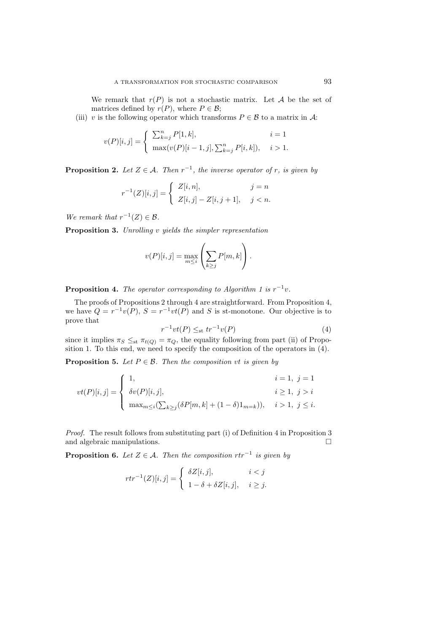We remark that  $r(P)$  is not a stochastic matrix. Let A be the set of matrices defined by  $r(P)$ , where  $P \in \mathcal{B}$ ;

(iii) v is the following operator which transforms  $P \in \mathcal{B}$  to a matrix in A:

$$
v(P)[i,j] = \begin{cases} \sum_{k=j}^{n} P[1,k], & i = 1\\ \max(v(P)[i-1,j], \sum_{k=j}^{n} P[i,k]), & i > 1. \end{cases}
$$

**Proposition 2.** *Let*  $Z \in \mathcal{A}$ *. Then*  $r^{-1}$ *, the inverse operator of* r*, is given by* 

$$
r^{-1}(Z)[i,j] = \begin{cases} Z[i,n], & j = n \\ Z[i,j] - Z[i,j+1], & j < n. \end{cases}
$$

*We remark that*  $r^{-1}(Z) \in \mathcal{B}$ *.* 

**Proposition 3.** *Unrolling* v *yields the simpler representation*

$$
v(P)[i,j] = \max_{m \leq i} \left( \sum_{k \geq j} P[m,k] \right).
$$

**Proposition 4.** *The operator corresponding to Algorithm 1 is*  $r^{-1}v$ *.* 

The proofs of Propositions 2 through 4 are straightforward. From Proposition 4, we have  $Q = r^{-1}v(P)$ ,  $S = r^{-1}vt(P)$  and S is st-monotone. Our objective is to prove that

$$
r^{-1}vt(P) \leq_{\text{st}} tr^{-1}v(P) \tag{4}
$$

since it implies  $\pi_S \leq_{\text{st}} \pi_{t(Q)} = \pi_Q$ , the equality following from part (ii) of Proposition 1. To this end, we need to specify the composition of the operators in (4).

**Proposition 5.** *Let*  $P \in \mathcal{B}$ *. Then the composition vt is given by* 

$$
vt(P)[i,j] = \begin{cases} 1, & i = 1, j = 1 \\ \delta v(P)[i,j], & i \ge 1, j > i \\ \max_{m \le i} (\sum_{k \ge j} (\delta P[m,k] + (1-\delta)1_{m=k})), & i > 1, j \le i. \end{cases}
$$

*Proof.* The result follows from substituting part (i) of Definition 4 in Proposition 3 and algebraic manipulations.

**Proposition 6.** *Let*  $Z \in \mathcal{A}$ *. Then the composition*  $rtr^{-1}$  *is given by* 

$$
rtr^{-1}(Z)[i,j] = \begin{cases} \delta Z[i,j], & i < j \\ 1 - \delta + \delta Z[i,j], & i \ge j. \end{cases}
$$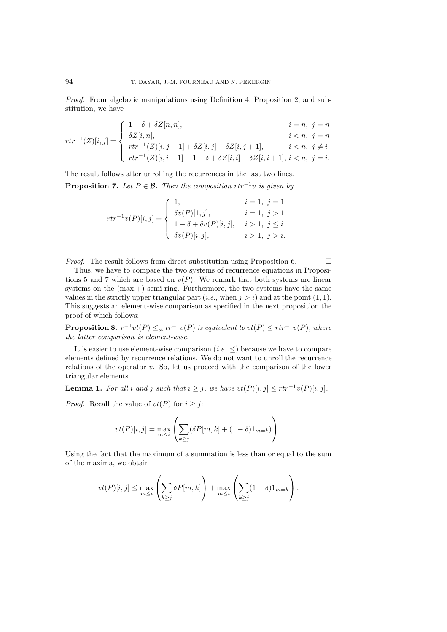*Proof.* From algebraic manipulations using Definition 4, Proposition 2, and substitution, we have

$$
rtr^{-1}(Z)[i,j] = \begin{cases} 1 - \delta + \delta Z[n,n], & i = n, j = n \\ \delta Z[i,n], & i < n, j = n \\ rtr^{-1}(Z)[i,j+1] + \delta Z[i,j] - \delta Z[i,j+1], & i < n, j \neq i \\ rtr^{-1}(Z)[i,i+1] + 1 - \delta + \delta Z[i,i] - \delta Z[i,i+1], & i < n, j = i. \end{cases}
$$

The result follows after unrolling the recurrences in the last two lines.  $\Box$ **Proposition 7.** *Let*  $P \in \mathcal{B}$ *. Then the composition*  $rtr^{-1}v$  *is given by* 

$$
rtr^{-1}v(P)[i,j] = \begin{cases} 1, & i = 1, j = 1 \\ \delta v(P)[1,j], & i = 1, j > 1 \\ 1 - \delta + \delta v(P)[i,j], & i > 1, j \le i \\ \delta v(P)[i,j], & i > 1, j > i. \end{cases}
$$

*Proof.* The result follows from direct substitution using Proposition 6.

Thus, we have to compare the two systems of recurrence equations in Propositions 5 and 7 which are based on  $v(P)$ . We remark that both systems are linear systems on the  $(max,+)$  semi-ring. Furthermore, the two systems have the same values in the strictly upper triangular part  $(i.e., when j > i)$  and at the point  $(1, 1)$ . This suggests an element-wise comparison as specified in the next proposition the proof of which follows:

**Proposition 8.**  $r^{-1}vt(P) \leq_{st} tr^{-1}v(P)$  *is equivalent to*  $vt(P) \leq rtr^{-1}v(P)$ *, where the latter comparison is element-wise.*

It is easier to use element-wise comparison (*i.e.*  $\leq$ ) because we have to compare elements defined by recurrence relations. We do not want to unroll the recurrence relations of the operator  $v$ . So, let us proceed with the comparison of the lower triangular elements.

**Lemma 1.** For all i and j such that  $i \geq j$ , we have  $vt(P)[i, j] \leq rt r^{-1} v(P)[i, j]$ .

*Proof.* Recall the value of  $vt(P)$  for  $i \geq j$ :

$$
vt(P)[i,j] = \max_{m \leq i} \left( \sum_{k \geq j} (\delta P[m,k] + (1-\delta)1_{m=k}) \right).
$$

Using the fact that the maximum of a summation is less than or equal to the sum of the maxima, we obtain

$$
vt(P)[i,j] \le \max_{m \le i} \left( \sum_{k \ge j} \delta P[m,k] \right) + \max_{m \le i} \left( \sum_{k \ge j} (1-\delta) 1_{m=k} \right).
$$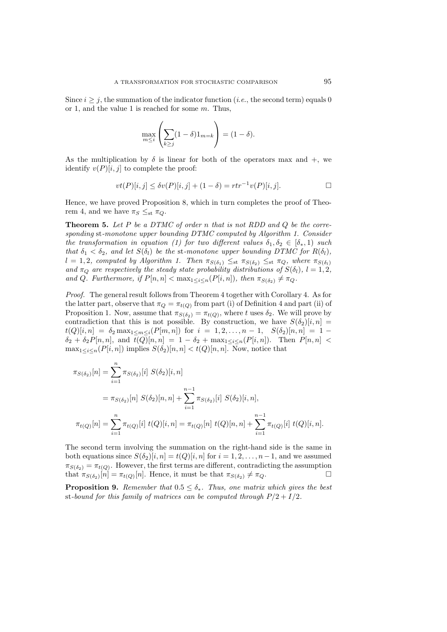Since  $i > j$ , the summation of the indicator function (*i.e.*, the second term) equals 0 or 1, and the value 1 is reached for some  $m$ . Thus,

$$
\max_{m \leq i} \left( \sum_{k \geq j} (1 - \delta) 1_{m = k} \right) = (1 - \delta).
$$

As the multiplication by  $\delta$  is linear for both of the operators max and  $+$ , we identify  $v(P)[i, j]$  to complete the proof:

$$
vt(P)[i, j] \leq \delta v(P)[i, j] + (1 - \delta) = rtr^{-1}v(P)[i, j].
$$

Hence, we have proved Proposition 8, which in turn completes the proof of Theorem 4, and we have  $\pi_S \leq_{\text{st}} \pi_Q$ .

**Theorem 5.** *Let* P *be a DTMC of order* n *that is not RDD and* Q *be the corresponding* st*-monotone upper bounding DTMC computed by Algorithm 1. Consider the transformation in equation (1) for two different values*  $\delta_1, \delta_2 \in [\delta_*, 1)$  *such that*  $\delta_1 < \delta_2$ *, and let*  $S(\delta_i)$  *be the* st-monotone upper bounding DTMC for  $R(\delta_i)$ *,*  $l = 1, 2$ , computed by Algorithm 1. Then  $\pi_{S(\delta_1)} \leq_{\text{st}} \pi_{S(\delta_2)} \leq_{\text{st}} \pi_Q$ , where  $\pi_{S(\delta_l)}$ *and*  $\pi_Q$  *are respectively the steady state probability distributions of*  $S(\delta_l)$ *,*  $l = 1, 2$ *,* and Q. Furthermore, if  $P[n, n] < \max_{1 \leq i \leq n} (P[i, n])$ , then  $\pi_{S(\delta_2)} \neq \pi_Q$ .

*Proof.* The general result follows from Theorem 4 together with Corollary 4. As for the latter part, observe that  $\pi_Q = \pi_{t(Q)}$  from part (i) of Definition 4 and part (ii) of Proposition 1. Now, assume that  $\pi_{S(\delta_2)} = \pi_{t(Q)}$ , where t uses  $\delta_2$ . We will prove by contradiction that this is not possible. By construction, we have  $S(\delta_2)[i, n] =$  $t(Q)[i, n] = \delta_2 \max_{1 \le m \le i} (P[m, n])$  for  $i = 1, 2, ..., n-1$ ,  $S(\delta_2)[n, n] = 1 \delta_2 + \delta_2 P[n,n]$ , and  $t(Q)[n,n]=1 - \delta_2 + \max_{1 \leq i \leq n}(P[i,n])$ . Then  $P[n,n]$  <  $\max_{1 \leq i \leq n} (P[i, n])$  implies  $S(\delta_2)[n, n] < t(Q)[n, n]$ . Now, notice that

$$
\pi_{S(\delta_2)}[n] = \sum_{i=1}^n \pi_{S(\delta_2)}[i] S(\delta_2)[i, n]
$$
  
=  $\pi_{S(\delta_2)}[n] S(\delta_2)[n, n] + \sum_{i=1}^{n-1} \pi_{S(\delta_2)}[i] S(\delta_2)[i, n],$   

$$
\pi_{t(Q)}[n] = \sum_{i=1}^n \pi_{t(Q)}[i] t(Q)[i, n] = \pi_{t(Q)}[n] t(Q)[n, n] + \sum_{i=1}^{n-1} \pi_{t(Q)}[i] t(Q)[i, n].
$$

The second term involving the summation on the right-hand side is the same in both equations since  $S(\delta_2)[i, n] = t(Q)[i, n]$  for  $i = 1, 2, ..., n-1$ , and we assumed  $\pi_{S(\delta_2)} = \pi_{t(Q)}$ . However, the first terms are different, contradicting the assumption that  $\pi_{S(\delta_2)}[n] = \pi_{t(Q)}[n]$ . Hence, it must be that  $\pi_{S(\delta_2)} \neq \pi_Q$ .

**Proposition 9.** *Remember that*  $0.5 \leq \delta_*$ *. Thus, one matrix which gives the best* st-bound for this family of matrices can be computed through  $P/2 + I/2$ .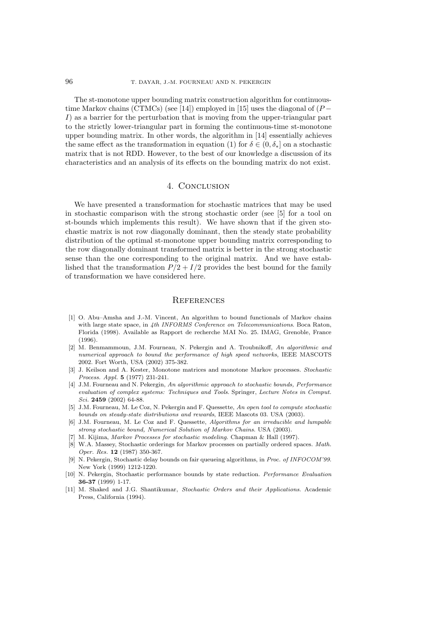The st-monotone upper bounding matrix construction algorithm for continuoustime Markov chains (CTMCs) (see [14]) employed in [15] uses the diagonal of  $(P -$ I) as a barrier for the perturbation that is moving from the upper-triangular part to the strictly lower-triangular part in forming the continuous-time st-monotone upper bounding matrix. In other words, the algorithm in [14] essentially achieves the same effect as the transformation in equation (1) for  $\delta \in (0, \delta_{*}]$  on a stochastic matrix that is not RDD. However, to the best of our knowledge a discussion of its characteristics and an analysis of its effects on the bounding matrix do not exist.

## 4. CONCLUSION

We have presented a transformation for stochastic matrices that may be used in stochastic comparison with the strong stochastic order (see [5] for a tool on st-bounds which implements this result). We have shown that if the given stochastic matrix is not row diagonally dominant, then the steady state probability distribution of the optimal st-monotone upper bounding matrix corresponding to the row diagonally dominant transformed matrix is better in the strong stochastic sense than the one corresponding to the original matrix. And we have established that the transformation  $P/2 + I/2$  provides the best bound for the family of transformation we have considered here.

#### **REFERENCES**

- [1] O. Abu–Amsha and J.-M. Vincent, An algorithm to bound functionals of Markov chains with large state space, in 4th INFORMS Conference on Telecommunications. Boca Raton, Florida (1998). Available as Rapport de recherche MAI No. 25. IMAG, Grenoble, France (1996).
- [2] M. Benmammoun, J.M. Fourneau, N. Pekergin and A. Troubnikoff, An algorithmic and numerical approach to bound the performance of high speed networks, IEEE MASCOTS 2002. Fort Worth, USA (2002) 375-382.
- [3] J. Keilson and A. Kester, Monotone matrices and monotone Markov processes. Stochastic Process. Appl. **5** (1977) 231-241.
- [4] J.M. Fourneau and N. Pekergin, An algorithmic approach to stochastic bounds, Performance evaluation of complex systems: Techniques and Tools. Springer, Lecture Notes in Comput. Sci. **2459** (2002) 64-88.
- [5] J.M. Fourneau, M. Le Coz, N. Pekergin and F. Quessette, An open tool to compute stochastic bounds on steady-state distributions and rewards, IEEE Mascots 03. USA (2003).
- [6] J.M. Fourneau, M. Le Coz and F. Quessette, Algorithms for an irreducible and lumpable strong stochastic bound, Numerical Solution of Markov Chains. USA (2003).
- [7] M. Kijima, Markov Processes for stochastic modeling. Chapman & Hall (1997).
- [8] W.A. Massey, Stochastic orderings for Markov processes on partially ordered spaces. Math. Oper. Res. **12** (1987) 350-367.
- [9] N. Pekergin, Stochastic delay bounds on fair queueing algorithms, in *Proc. of INFOCOM'99*. New York (1999) 1212-1220.
- [10] N. Pekergin, Stochastic performance bounds by state reduction. Performance Evaluation **36-37** (1999) 1-17.
- [11] M. Shaked and J.G. Shantikumar, Stochastic Orders and their Applications. Academic Press, California (1994).